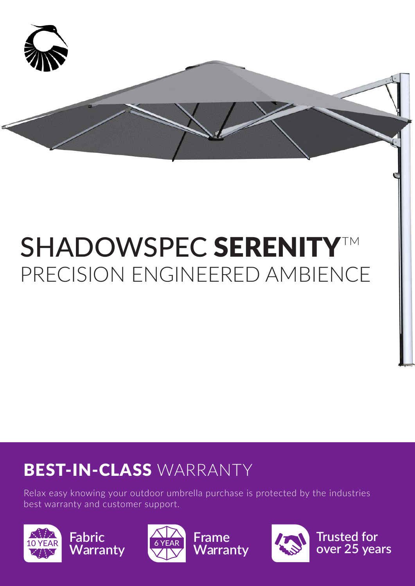

# SHADOWSPEC SERENITY™ PRECISION ENGINEERED AMBIENCE

# BEST-IN-CLASS WARRANTY

Relax easy knowing your outdoor umbrella purchase is protected by the industries best warranty and customer support.







**Warranty** 



**Trusted for over 25 years**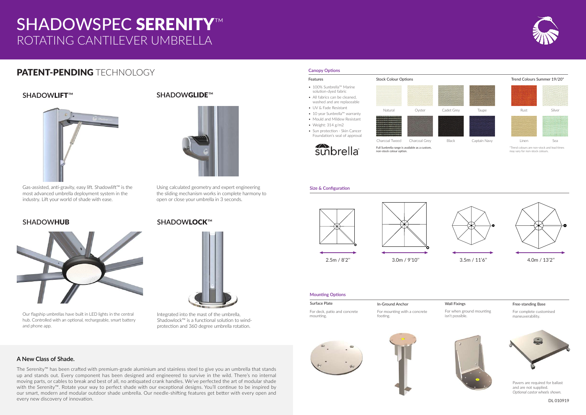# ROTATING CANTILEVER UMBRELLA SHADOWSPEC SERENITY™

## PATENT-PENDING TECHNOLOGY

#### **Size & Configuration**





- 100% Sunbrella™ Marine solution-dyed fabric • All fabrics can be cleaned,
- washed and are replaceable • UV & Fade Resistant
- 10 year Sunbrella™ warranty
- Mould and Mildew Resistant
- Weight: 314 g/m2
- Sun protection Skin Cancer Foundation's seal of approval



#### **Canopy Options**



Features Stock Colour Options Trend Colours Summer 19/20\*



Integrated into the mast of the umbrella, Shadowlock™ is a functional solution to windprotection and 360 degree umbrella rotation.

#### **SHADOW**LOCK™



Our flagship umbrellas have built in LED lights in the central hub. Controlled with an optional, rechargeable, smart battery and phone app.

Using calculated geometry and expert engineering the sliding mechanism works in complete harmony to open or close your umbrella in 3 seconds.

### **SHADOWHUB**



### **SHADOW**GLIDE™





Gas-assisted, anti-gravity, easy lift. Shadowlift™ is the most advanced umbrella deployment system in the industry. Lift your world of shade with ease.

### **SHADOW**LIFT™



#### **Mounting Options**

Surface Plate For deck, patio and concrete

> Pavers are required for ballast and are not supplied. *Optional castor wheels shown.*

mounting.

#### In-Ground Anchor

For mounting with a concrete footing.





#### Free-standing Base

For complete customised maneuverability.



#### Wall Fixings

For when ground mounting isn't possible.



\*Trend colours are non-stock and lead times may vary for non-stock colours.





DL 010919

#### **A New Class of Shade.**

The Serenity™ has been crafted with premium-grade aluminium and stainless steel to give you an umbrella that stands up and stands out. Every component has been designed and engineered to survive in the wild. There's no internal moving parts, or cables to break and best of all, no antiquated crank handles. We've perfected the art of modular shade with the Serenity™. Rotate your way to perfect shade with our exceptional designs. You'll continue to be inspired by our smart, modern and modular outdoor shade umbrella. Our needle-shifting features get better with every open and every new discovery of innovation.